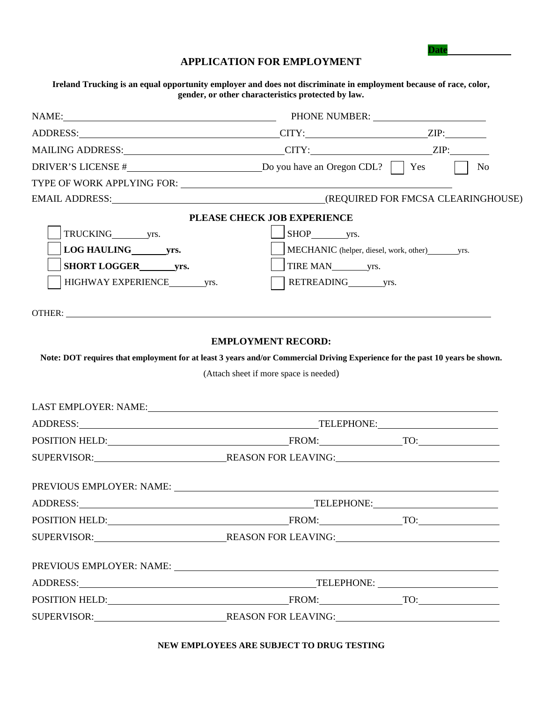| APPLICATION FOR EMPLOYMENT |  |
|----------------------------|--|
|----------------------------|--|

**Date** 

**Ireland Trucking is an equal opportunity employer and does not discriminate in employment because of race, color, gender, or other characteristics protected by law.**

|                   | NAME: NAME: NEXT PHONE NUMBER:                                                                                                                                                                                                 |                             |
|-------------------|--------------------------------------------------------------------------------------------------------------------------------------------------------------------------------------------------------------------------------|-----------------------------|
|                   |                                                                                                                                                                                                                                |                             |
|                   |                                                                                                                                                                                                                                |                             |
|                   | DRIVER'S LICENSE # <u> Do you have an Oregon CDL?</u>   Yes                                                                                                                                                                    | $\overline{\phantom{a}}$ No |
|                   |                                                                                                                                                                                                                                |                             |
|                   |                                                                                                                                                                                                                                |                             |
|                   | PLEASE CHECK JOB EXPERIENCE                                                                                                                                                                                                    |                             |
|                   |                                                                                                                                                                                                                                |                             |
|                   |                                                                                                                                                                                                                                |                             |
| SHORT LOGGER yrs. |                                                                                                                                                                                                                                |                             |
|                   | RETREADING yrs.                                                                                                                                                                                                                |                             |
|                   | OTHER: The contract of the contract of the contract of the contract of the contract of the contract of the contract of the contract of the contract of the contract of the contract of the contract of the contract of the con |                             |
|                   | <b>EMPLOYMENT RECORD:</b><br>Note: DOT requires that employment for at least 3 years and/or Commercial Driving Experience for the past 10 years be shown.<br>(Attach sheet if more space is needed)                            |                             |
|                   |                                                                                                                                                                                                                                |                             |
|                   |                                                                                                                                                                                                                                |                             |
|                   |                                                                                                                                                                                                                                |                             |
|                   |                                                                                                                                                                                                                                |                             |
|                   |                                                                                                                                                                                                                                |                             |
|                   | TELEPHONE: TELEPHONE:                                                                                                                                                                                                          |                             |
|                   |                                                                                                                                                                                                                                |                             |
| ADDRESS:          |                                                                                                                                                                                                                                |                             |
|                   |                                                                                                                                                                                                                                |                             |
|                   |                                                                                                                                                                                                                                |                             |
|                   |                                                                                                                                                                                                                                |                             |

**NEW EMPLOYEES ARE SUBJECT TO DRUG TESTING**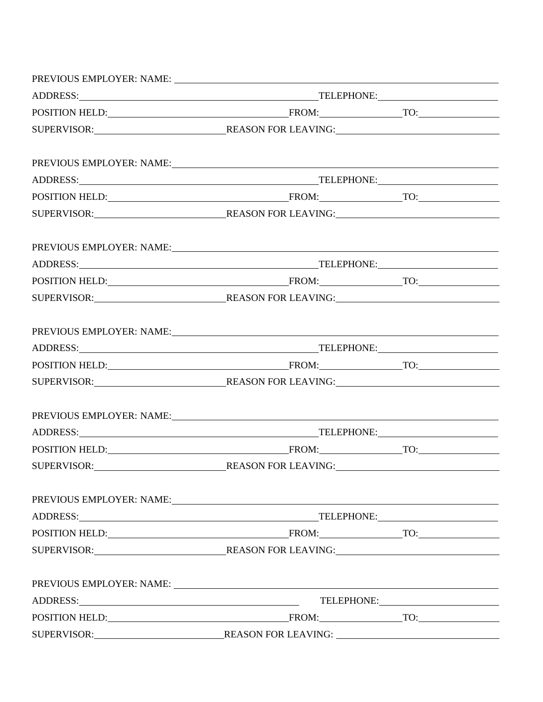|  |  | PREVIOUS EMPLOYER: NAME:<br>POSITION HELD: FROM: TO: TO:<br>SUPERVISOR: REASON FOR LEAVING:<br>PREVIOUS EMPLOYER: NAME: VALUE AND A CONSERVANT AND A CONSERVANT OF THE CONSERVANT OF THE CONSERVANT OF THE CONSERVANT OF THE CONSERVANT OF THE CONSERVANT OF THE CONSERVANT OF THE CONSERVANT OF THE CONSERVANT OF THE CONSER<br>POSITION HELD: FROM: TO: TO: |
|--|--|---------------------------------------------------------------------------------------------------------------------------------------------------------------------------------------------------------------------------------------------------------------------------------------------------------------------------------------------------------------|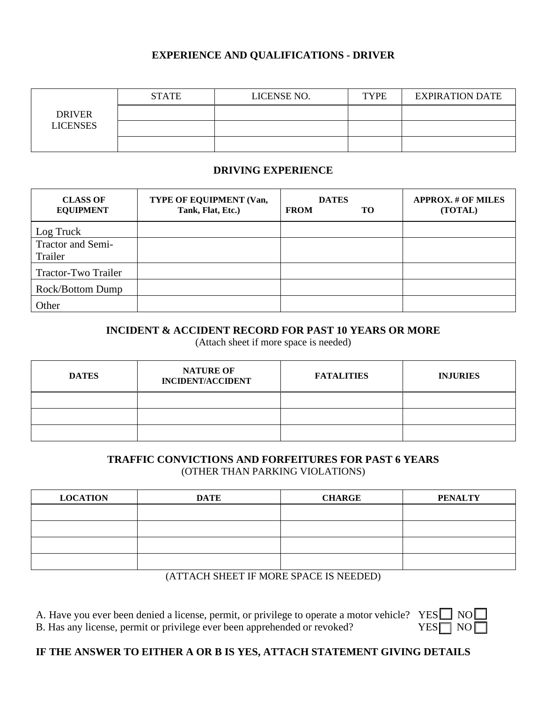### **EXPERIENCE AND QUALIFICATIONS - DRIVER**

|                 | <b>STATE</b> | LICENSE NO. | <b>TYPE</b> | <b>EXPIRATION DATE</b> |
|-----------------|--------------|-------------|-------------|------------------------|
| <b>DRIVER</b>   |              |             |             |                        |
| <b>LICENSES</b> |              |             |             |                        |
|                 |              |             |             |                        |

### **DRIVING EXPERIENCE**

| <b>CLASS OF</b><br><b>EQUIPMENT</b> | TYPE OF EQUIPMENT (Van,<br>Tank, Flat, Etc.) | <b>DATES</b><br><b>FROM</b><br>TO. | <b>APPROX. # OF MILES</b><br>(TOTAL) |
|-------------------------------------|----------------------------------------------|------------------------------------|--------------------------------------|
| Log Truck                           |                                              |                                    |                                      |
| <b>Tractor and Semi-</b><br>Trailer |                                              |                                    |                                      |
| Tractor-Two Trailer                 |                                              |                                    |                                      |
| Rock/Bottom Dump                    |                                              |                                    |                                      |
| Other                               |                                              |                                    |                                      |

### **INCIDENT & ACCIDENT RECORD FOR PAST 10 YEARS OR MORE**

(Attach sheet if more space is needed)

| <b>DATES</b> | <b>NATURE OF</b><br><b>INCIDENT/ACCIDENT</b> | <b>FATALITIES</b> | <b>INJURIES</b> |
|--------------|----------------------------------------------|-------------------|-----------------|
|              |                                              |                   |                 |
|              |                                              |                   |                 |
|              |                                              |                   |                 |

### **TRAFFIC CONVICTIONS AND FORFEITURES FOR PAST 6 YEARS** (OTHER THAN PARKING VIOLATIONS)

| <b>LOCATION</b> | <b>DATE</b> | <b>CHARGE</b> | <b>PENALTY</b> |
|-----------------|-------------|---------------|----------------|
|                 |             |               |                |
|                 |             |               |                |
|                 |             |               |                |
|                 |             |               |                |

#### (ATTACH SHEET IF MORE SPACE IS NEEDED)

A. Have you ever been denied a license, permit, or privilege to operate a motor vehicle?

| B. Has any license, permit or privilege ever been apprehended or revoked? | $YES$ NO |  |
|---------------------------------------------------------------------------|----------|--|
|---------------------------------------------------------------------------|----------|--|

| YEN | NO. |  |
|-----|-----|--|
| HN. | NΩ  |  |

# **IF THE ANSWER TO EITHER A OR B IS YES, ATTACH STATEMENT GIVING DETAILS**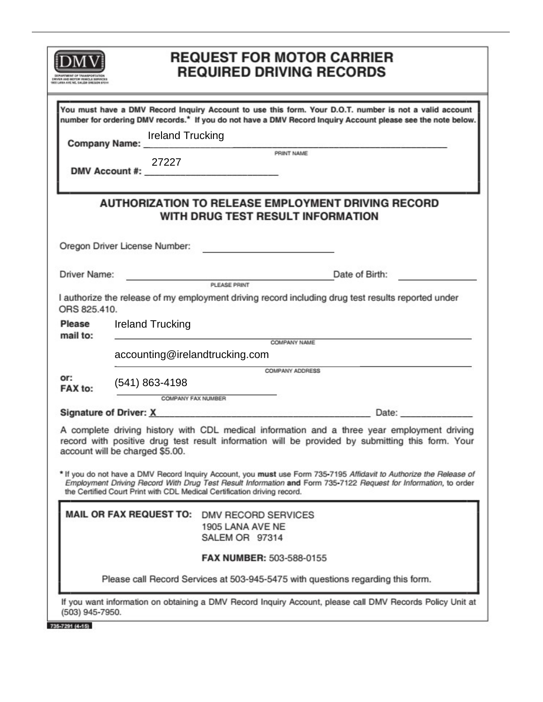|                    | <b>REQUEST FOR MOTOR CARRIER</b><br><b>REQUIRED DRIVING RECORDS</b>                                                                                                                                                                                                                                                                                    |
|--------------------|--------------------------------------------------------------------------------------------------------------------------------------------------------------------------------------------------------------------------------------------------------------------------------------------------------------------------------------------------------|
|                    | You must have a DMV Record Inquiry Account to use this form. Your D.O.T. number is not a valid account<br>number for ordering DMV records.* If you do not have a DMV Record Inquiry Account please see the note below.<br><b>Ireland Trucking</b><br>Company Name: Manne Manne Manne PRINT NAME<br>27227<br>DMV Account #: ___________________________ |
|                    | <b>AUTHORIZATION TO RELEASE EMPLOYMENT DRIVING RECORD</b><br><b>WITH DRUG TEST RESULT INFORMATION</b>                                                                                                                                                                                                                                                  |
|                    | Oregon Driver License Number:<br><u> Communication</u>                                                                                                                                                                                                                                                                                                 |
| Driver Name:       | Date of Birth: North State of Birth:<br><b>Example 2004</b><br>PLEASE PRINT                                                                                                                                                                                                                                                                            |
| ORS 825.410.       | I authorize the release of my employment driving record including drug test results reported under                                                                                                                                                                                                                                                     |
| Please<br>mail to: | <b>Ireland Trucking</b><br>COMPANY NAME                                                                                                                                                                                                                                                                                                                |
|                    | accounting@irelandtrucking.com                                                                                                                                                                                                                                                                                                                         |
| or:<br>FAX to:     | <b>COMPANY ADDRESS</b><br>$(541)$ 863-4198<br>COMPANY FAX NUMBER                                                                                                                                                                                                                                                                                       |
|                    | Signature of Driver: X Date: Date:                                                                                                                                                                                                                                                                                                                     |
|                    | A complete driving history with CDL medical information and a three year employment driving<br>record with positive drug test result information will be provided by submitting this form. Your<br>account will be charged \$5.00.                                                                                                                     |
|                    | * If you do not have a DMV Record Inquiry Account, you must use Form 735-7195 Affidavit to Authorize the Release of<br>Employment Driving Record With Drug Test Result Information and Form 735-7122 Request for Information, to order<br>the Certified Court Print with CDL Medical Certification driving record.                                     |
|                    | MAIL OR FAX REQUEST TO: DMV RECORD SERVICES<br>1905 LANA AVE NE<br>SALEM OR 97314                                                                                                                                                                                                                                                                      |
|                    | FAX NUMBER: 503-588-0155                                                                                                                                                                                                                                                                                                                               |
|                    | Please call Record Services at 503-945-5475 with questions regarding this form.                                                                                                                                                                                                                                                                        |
| (503) 945-7950.    | If you want information on obtaining a DMV Record Inquiry Account, please call DMV Records Policy Unit at                                                                                                                                                                                                                                              |
| 735-7291 (4-15)    |                                                                                                                                                                                                                                                                                                                                                        |